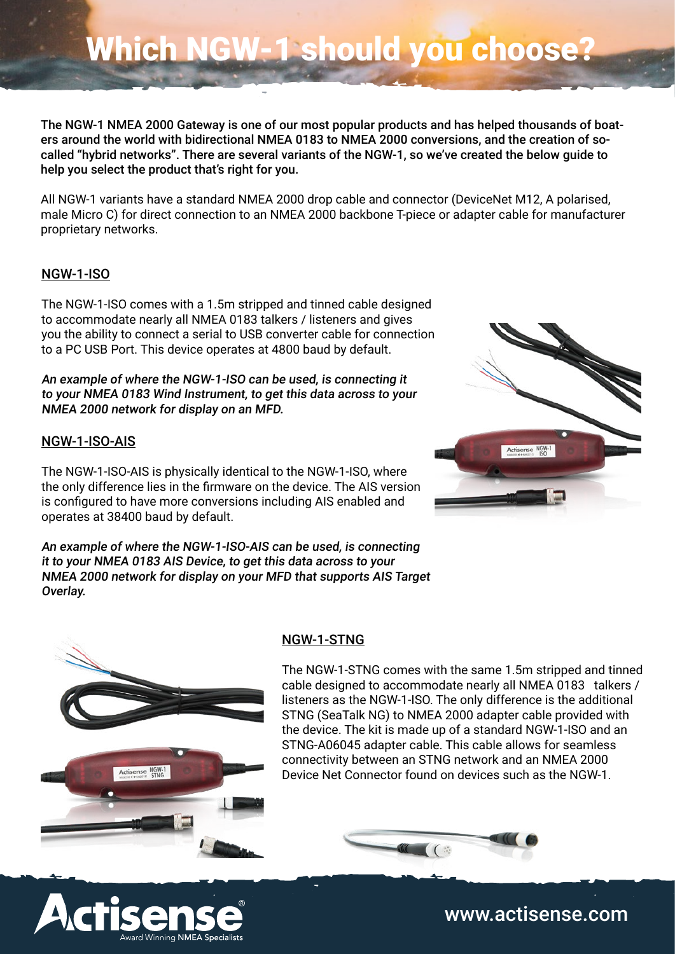## Which NGW-1 should you choose?

The NGW-1 NMEA 2000 Gateway is one of our most popular products and has helped thousands of boaters around the world with bidirectional NMEA 0183 to NMEA 2000 conversions, and the creation of socalled "hybrid networks". There are several variants of the NGW-1, so we've created the below guide to help you select the product that's right for you.

All NGW-1 variants have a standard NMEA 2000 drop cable and connector (DeviceNet M12, A polarised, male Micro C) for direct connection to an NMEA 2000 backbone T-piece or adapter cable for manufacturer proprietary networks.

## NGW-1-ISO

The NGW-1-ISO comes with a 1.5m stripped and tinned cable designed to accommodate nearly all NMEA 0183 talkers / listeners and gives you the ability to connect a serial to USB converter cable for connection to a PC USB Port. This device operates at 4800 baud by default.

An example of where the NGW-1-ISO can be used, is connecting it to your NMEA 0183 Wind Instrument, to get this data across to your NMEA 2000 network for display on an MFD.

### NGW-1-ISO-AIS

The NGW-1-ISO-AIS is physically identical to the NGW-1-ISO, where the only difference lies in the firmware on the device. The AIS version is configured to have more conversions including AIS enabled and operates at 38400 baud by default.

An example of where the NGW-1-ISO-AIS can be used, is connecting it to your NMEA 0183 AIS Device, to get this data across to your NMEA 2000 network for display on your MFD that supports AIS Target Overlay.







#### NGW-1-STNG

The NGW-1-STNG comes with the same 1.5m stripped and tinned cable designed to accommodate nearly all NMEA 0183 talkers / listeners as the NGW-1-ISO. The only difference is the additional STNG (SeaTalk NG) to NMEA 2000 adapter cable provided with the device. The kit is made up of a standard NGW-1-ISO and an STNG-A06045 adapter cable. This cable allows for seamless connectivity between an STNG network and an NMEA 2000 Device Net Connector found on devices such as the NGW-1.



www.actisense.com